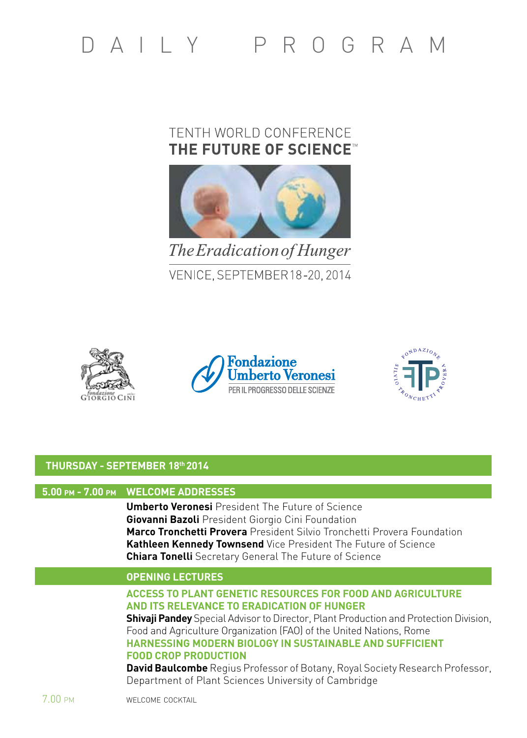# DAIIY PROGRAM

# TENTH WORLD CONFERENCE THE FUTURE OF SCIENCE™



The Eradication of Hunger VENICE, SEPTEMBER 18-20, 2014







# **THURSDAY - SEPTEMBER 18th 2014**

# **5.00 pm - 7.00 pm WELCOME ADDRESSES**

 **Umberto Veronesi** President The Future of Science  **Giovanni Bazoli** President Giorgio Cini Foundation  **Marco Tronchetti Provera** President Silvio Tronchetti Provera Foundation  **Kathleen Kennedy Townsend** Vice President The Future of Science  **Chiara Tonelli** Secretary General The Future of Science

# **opening lectures**

## **Access to plant genetic resources for food and agriculture and its relevance to eradication of hunger**

**Shivaii Pandey** Special Advisor to Director, Plant Production and Protection Division, Food and Agriculture Organization (FAO) of the United Nations, Rome  **Harnessing modern biology in sustainable and sufficient food crop production**

 **David Baulcombe** Regius Professor of Botany, Royal Society Research Professor, Department of Plant Sciences University of Cambridge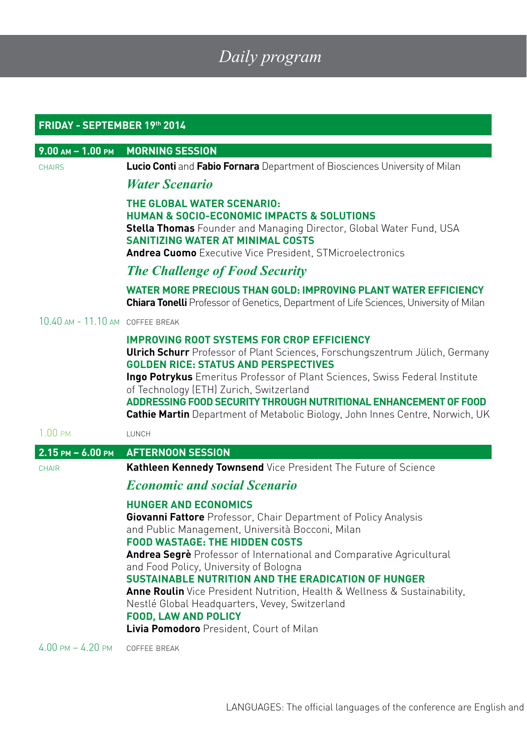# *Daily program*

| FRIDAY - SEPTEMBER 19th 2014     |                                                                                                                                                                                                                                                                                                                                                                                                                                                                                                                                           |  |  |
|----------------------------------|-------------------------------------------------------------------------------------------------------------------------------------------------------------------------------------------------------------------------------------------------------------------------------------------------------------------------------------------------------------------------------------------------------------------------------------------------------------------------------------------------------------------------------------------|--|--|
| $9.00$ AM - 1.00 PM              | <b>MORNING SESSION</b>                                                                                                                                                                                                                                                                                                                                                                                                                                                                                                                    |  |  |
| <b>CHAIRS</b>                    | Lucio Conti and Fabio Fornara Department of Biosciences University of Milan                                                                                                                                                                                                                                                                                                                                                                                                                                                               |  |  |
|                                  | <b>Water Scenario</b>                                                                                                                                                                                                                                                                                                                                                                                                                                                                                                                     |  |  |
|                                  | THE GLOBAL WATER SCENARIO:<br><b>HUMAN &amp; SOCIO-ECONOMIC IMPACTS &amp; SOLUTIONS</b><br><b>Stella Thomas</b> Founder and Managing Director, Global Water Fund, USA<br><b>SANITIZING WATER AT MINIMAL COSTS</b><br><b>Andrea Cuomo</b> Executive Vice President, STMicroelectronics                                                                                                                                                                                                                                                     |  |  |
|                                  | <b>The Challenge of Food Security</b>                                                                                                                                                                                                                                                                                                                                                                                                                                                                                                     |  |  |
|                                  | <b>WATER MORE PRECIOUS THAN GOLD: IMPROVING PLANT WATER EFFICIENCY</b><br>Chiara Tonelli Professor of Genetics, Department of Life Sciences, University of Milan                                                                                                                                                                                                                                                                                                                                                                          |  |  |
| 10.40 AM - 11.10 AM COFFEE BREAK |                                                                                                                                                                                                                                                                                                                                                                                                                                                                                                                                           |  |  |
|                                  | <b>IMPROVING ROOT SYSTEMS FOR CROP EFFICIENCY</b><br><b>Ulrich Schurr</b> Professor of Plant Sciences, Forschungszentrum Jülich, Germany<br><b>GOLDEN RICE: STATUS AND PERSPECTIVES</b><br>Ingo Potrykus Emeritus Professor of Plant Sciences, Swiss Federal Institute<br>of Technology (ETH) Zurich, Switzerland<br>ADDRESSING FOOD SECURITY THROUGH NUTRITIONAL ENHANCEMENT OF FOOD<br>Cathie Martin Department of Metabolic Biology, John Innes Centre, Norwich, UK                                                                    |  |  |
| $1.00 \text{ }$ PM               | LUNCH                                                                                                                                                                                                                                                                                                                                                                                                                                                                                                                                     |  |  |
| $2.15$ PM $- 6.00$ PM            | <b>AFTERNOON SESSION</b>                                                                                                                                                                                                                                                                                                                                                                                                                                                                                                                  |  |  |
| CHAIR                            | Kathleen Kennedy Townsend Vice President The Future of Science                                                                                                                                                                                                                                                                                                                                                                                                                                                                            |  |  |
|                                  | <b>Economic and social Scenario</b>                                                                                                                                                                                                                                                                                                                                                                                                                                                                                                       |  |  |
|                                  | <b>HUNGER AND ECONOMICS</b><br>Giovanni Fattore Professor, Chair Department of Policy Analysis<br>and Public Management, Università Bocconi, Milan<br><b>FOOD WASTAGE: THE HIDDEN COSTS</b><br>Andrea Segrè Professor of International and Comparative Agricultural<br>and Food Policy, University of Bologna<br>SUSTAINABLE NUTRITION AND THE ERADICATION OF HUNGER<br><b>Anne Roulin</b> Vice President Nutrition, Health & Wellness & Sustainability,<br>Nestlé Global Headquarters, Vevey, Switzerland<br><b>FOOD, LAW AND POLICY</b> |  |  |
|                                  | <b>Livia Pomodoro</b> President, Court of Milan                                                                                                                                                                                                                                                                                                                                                                                                                                                                                           |  |  |

4.00 pm – 4.20 pm coffee break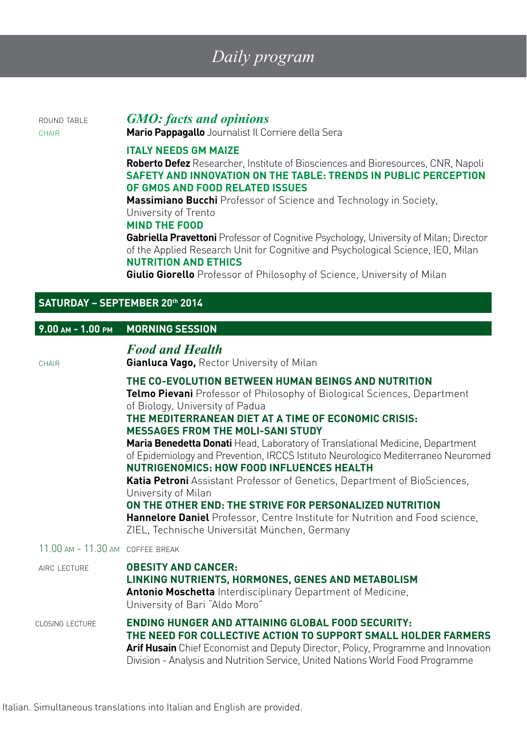# *Daily program*

# round table *GMO: facts and opinions*

chair **Mario Pappagallo** Journalist Il Corriere della Sera

#### **Italy needs GM Maize**

 **Roberto Defez** Researcher, Institute of Biosciences and Bioresources, CNR, Napoli **Safety and innovation on the table: trends in public perception of GMOs and food related issues**

**Massimiano Bucchi** Professor of Science and Technology in Society,

#### University of Trento

### **Mind the Food**

 **Gabriella Pravettoni** Professor of Cognitive Psychology, University of Milan; Director of the Applied Research Unit for Cognitive and Psychological Science, IEO, Milan **Nutrition and Ethics**

 **Giulio Giorello** Professor of Philosophy of Science, University of Milan

## **SATURDAY – SEPTEMBER 20th 2014**

| $9.00$ AM - 1.00 PM              | <b>MORNING SESSION</b>                                                                                                                                                                                                                                                                                                                                                                                                                                                                                                                                                                                                                                                                                                                                                                                        |
|----------------------------------|---------------------------------------------------------------------------------------------------------------------------------------------------------------------------------------------------------------------------------------------------------------------------------------------------------------------------------------------------------------------------------------------------------------------------------------------------------------------------------------------------------------------------------------------------------------------------------------------------------------------------------------------------------------------------------------------------------------------------------------------------------------------------------------------------------------|
| CHAIR                            | <b>Food and Health</b><br><b>Gianluca Vago, Rector University of Milan</b>                                                                                                                                                                                                                                                                                                                                                                                                                                                                                                                                                                                                                                                                                                                                    |
|                                  | THE CO-EVOLUTION BETWEEN HUMAN BEINGS AND NUTRITION<br><b>Telmo Pievani</b> Professor of Philosophy of Biological Sciences, Department<br>of Biology, University of Padua<br>THE MEDITERRANEAN DIET AT A TIME OF ECONOMIC CRISIS:<br><b>MESSAGES FROM THE MOLI-SANI STUDY</b><br>Maria Benedetta Donati Head, Laboratory of Translational Medicine, Department<br>of Epidemiology and Prevention, IRCCS Istituto Neurologico Mediterraneo Neuromed<br>NUTRIGENOMICS: HOW FOOD INFLUENCES HEALTH<br><b>Katia Petroni</b> Assistant Professor of Genetics, Department of BioSciences,<br>University of Milan<br>ON THE OTHER END: THE STRIVE FOR PERSONALIZED NUTRITION<br><b>Hannelore Daniel</b> Professor, Centre Institute for Nutrition and Food science,<br>ZIEL, Technische Universität München, Germany |
| 11.00 AM - 11.30 AM COFFFF BRFAK |                                                                                                                                                                                                                                                                                                                                                                                                                                                                                                                                                                                                                                                                                                                                                                                                               |
| AIRC LECTURE                     | <b>OBESITY AND CANCER:</b><br>LINKING NUTRIENTS, HORMONES, GENES AND METABOLISM<br>Antonio Moschetta Interdisciplinary Department of Medicine,<br>University of Bari "Aldo Moro"                                                                                                                                                                                                                                                                                                                                                                                                                                                                                                                                                                                                                              |
| CLOSING LECTURE                  | <b>ENDING HUNGER AND ATTAINING GLOBAL FOOD SECURITY:</b><br>THE NEED FOR COLLECTIVE ACTION TO SUPPORT SMALL HOLDER FARMERS<br>Arif Husain Chief Economist and Deputy Director, Policy, Programme and Innovation<br>Division - Analysis and Nutrition Service, United Nations World Food Programme                                                                                                                                                                                                                                                                                                                                                                                                                                                                                                             |